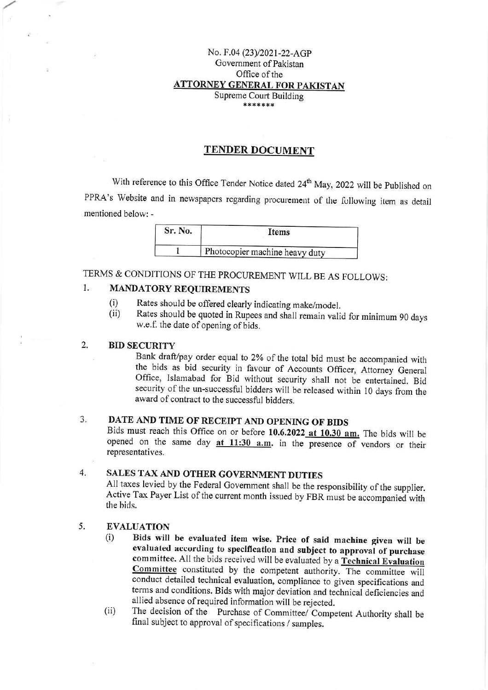### No. F.04 (23)/2021-22-AGP Government of Pakistan Office of the ATTORNEY GENERAL FOR PAKISTAN Supreme Court Building \*\*\*\*\*\*\*

### **TENDER DOCUMENT**

With reference to this Office Tender Notice dated 24<sup>th</sup> May, 2022 will be Published on PPRA's Website and in newspapers regarding procurement of the following item as detail mentioned below: -

| Sr. No. | Items                          |  |
|---------|--------------------------------|--|
|         | Photocopier machine heavy duty |  |

## TERMS & CONDITIONS OF THE PROCUREMENT WILL BE AS FOLLOWS:

#### 1. **MANDATORY REQUIREMENTS**

- Rates should be offered clearly indicating make/model.  $(i)$
- Rates should be quoted in Rupees and shall remain valid for minimum 90 days  $(ii)$ w.e.f. the date of opening of bids.

#### 2. **BID SECURITY**

Bank draft/pay order equal to 2% of the total bid must be accompanied with the bids as bid security in favour of Accounts Officer, Attorney General Office, Islamabad for Bid without security shall not be entertained. Bid security of the un-successful bidders will be released within 10 days from the award of contract to the successful bidders.

#### $3.$ DATE AND TIME OF RECEIPT AND OPENING OF BIDS

Bids must reach this Office on or before 10.6.2022\_at 10.30 am. The bids will be opened on the same day  $at$  11:30  $a.m.$  in the presence of vendors or their representatives.

#### $4.$ SALES TAX AND OTHER GOVERNMENT DUTIES

All taxes levied by the Federal Government shall be the responsibility of the supplier. Active Tax Payer List of the current month issued by FBR must be accompanied with the bids.

#### 5. **EVALUATION**

- Bids will be evaluated item wise. Price of said machine given will be  $(i)$ evaluated according to specification and subject to approval of purchase committee. All the bids received will be evaluated by a Technical Evaluation Committee constituted by the competent authority. The committee will conduct detailed technical evaluation, compliance to given specifications and terms and conditions. Bids with major deviation and technical deficiencies and allied absence of required information will be rejected.
- The decision of the Purchase of Committee/ Competent Authority shall be  $(ii)$ final subject to approval of specifications / samples.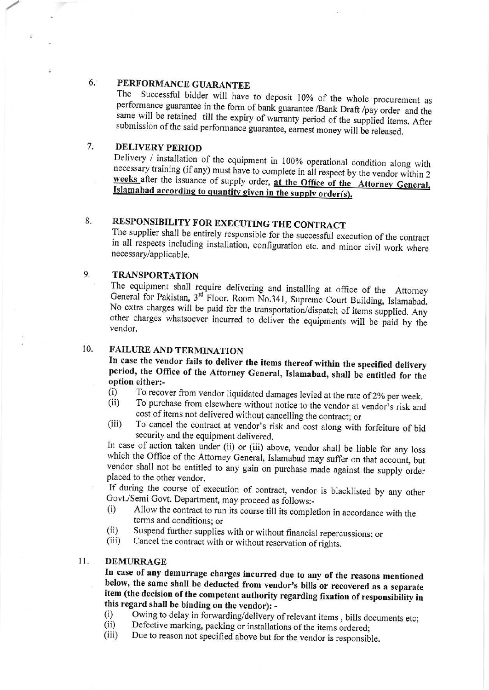#### $6.$ PERFORMANCE GUARANTEE

Successful bidder will have to deposit 10% of the whole procurement as The performance guarantee in the form of bank guarantee /Bank Draft /pay order and the same will be retained till the expiry of warranty period of the supplied items. After submission of the said performance guarantee, earnest money will be released.

#### 7. **DELIVERY PERIOD**

Delivery / installation of the equipment in 100% operational condition along with necessary training (if any) must have to complete in all respect by the vendor within 2 weeks after the issuance of supply order, at the Office of the Attorney General, Islamabad according to quantity given in the supply order(s).

#### RESPONSIBILITY FOR EXECUTING THE CONTRACT 8.

The supplier shall be entirely responsible for the successful execution of the contract in all respects including installation, configuration etc. and minor civil work where necessary/applicable.

#### 9. **TRANSPORTATION**

The equipment shall require delivering and installing at office of the Attorney General for Pakistan, 3rd Floor, Room No.341, Supreme Court Building, Islamabad. No extra charges will be paid for the transportation/dispatch of items supplied. Any other charges whatsoever incurred to deliver the equipments will be paid by the vendor.

#### 10. **FAILURE AND TERMINATION**

In case the vendor fails to deliver the items thereof within the specified delivery period, the Office of the Attorney General, Islamabad, shall be entitled for the option either:-

- To recover from vendor liquidated damages levied at the rate of 2% per week.  $(i)$
- To purchase from elsewhere without notice to the vendor at vendor's risk and  $(ii)$ cost of items not delivered without cancelling the contract; or
- To cancel the contract at vendor's risk and cost along with forfeiture of bid  $(iii)$ security and the equipment delivered.

In case of action taken under (ii) or (iii) above, vendor shall be liable for any loss which the Office of the Attorney General, Islamabad may suffer on that account, but vendor shall not be entitled to any gain on purchase made against the supply order placed to the other vendor.

If during the course of execution of contract, vendor is blacklisted by any other Govt./Semi Govt. Department, may proceed as follows:-

- Allow the contract to run its course till its completion in accordance with the  $(i)$ terms and conditions: or
- Suspend further supplies with or without financial repercussions; or  $(ii)$
- Cancel the contract with or without reservation of rights.  $(iii)$

#### $11.$ **DEMURRAGE**

In case of any demurrage charges incurred due to any of the reasons mentioned below, the same shall be deducted from vendor's bills or recovered as a separate item (the decision of the competent authority regarding fixation of responsibility in this regard shall be binding on the vendor): -

- Owing to delay in forwarding/delivery of relevant items, bills documents etc;  $(i)$
- Defective marking, packing or installations of the items ordered;  $(ii)$
- Due to reason not specified above but for the vendor is responsible.  $(iii)$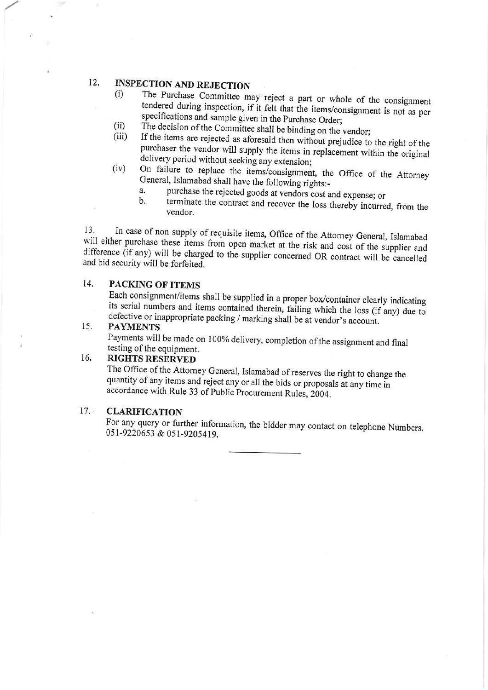#### 12. **INSPECTION AND REJECTION**

- The Purchase Committee may reject a part or whole of the consignment  $(i)$ tendered during inspection, if it felt that the items/consignment is not as per specifications and sample given in the Purchase Order;
- The decision of the Committee shall be binding on the vendor;  $(ii)$
- If the items are rejected as aforesaid then without prejudice to the right of the  $(iii)$ purchaser the vendor will supply the items in replacement within the original delivery period without seeking any extension;
- On failure to replace the items/consignment, the Office of the Attorney  $(iv)$ General, Islamabad shall have the following rights:
	- purchase the rejected goods at vendors cost and expense; or a.
	- terminate the contract and recover the loss thereby incurred, from the  $<sub>b</sub>$ </sub> vendor.

In case of non supply of requisite items, Office of the Attorney General, Islamabad 13. will either purchase these items from open market at the risk and cost of the supplier and difference (if any) will be charged to the supplier concerned OR contract will be cancelled and bid security will be forfeited.

#### 14. **PACKING OF ITEMS**

Each consignment/items shall be supplied in a proper box/containcr clearly indicating its serial numbers and items contained therein, failing which the loss (if any) due to defective or inappropriate packing / marking shall be at vendor's account.

#### 15. **PAYMENTS**

Payments will be made on 100% delivery, completion of the assignment and final testing of the equipment.

#### **RIGHTS RESERVED** 16.

The Office of the Attorney General, Islamabad of reserves the right to change the quantity of any items and reject any or all the bids or proposals at any time in accordance with Rule 33 of Public Procurement Rules, 2004.

#### $17.$ **CLARIFICATION**

For any query or further information, the bidder may contact on telephone Numbers. 051-9220653 & 051-9205419.